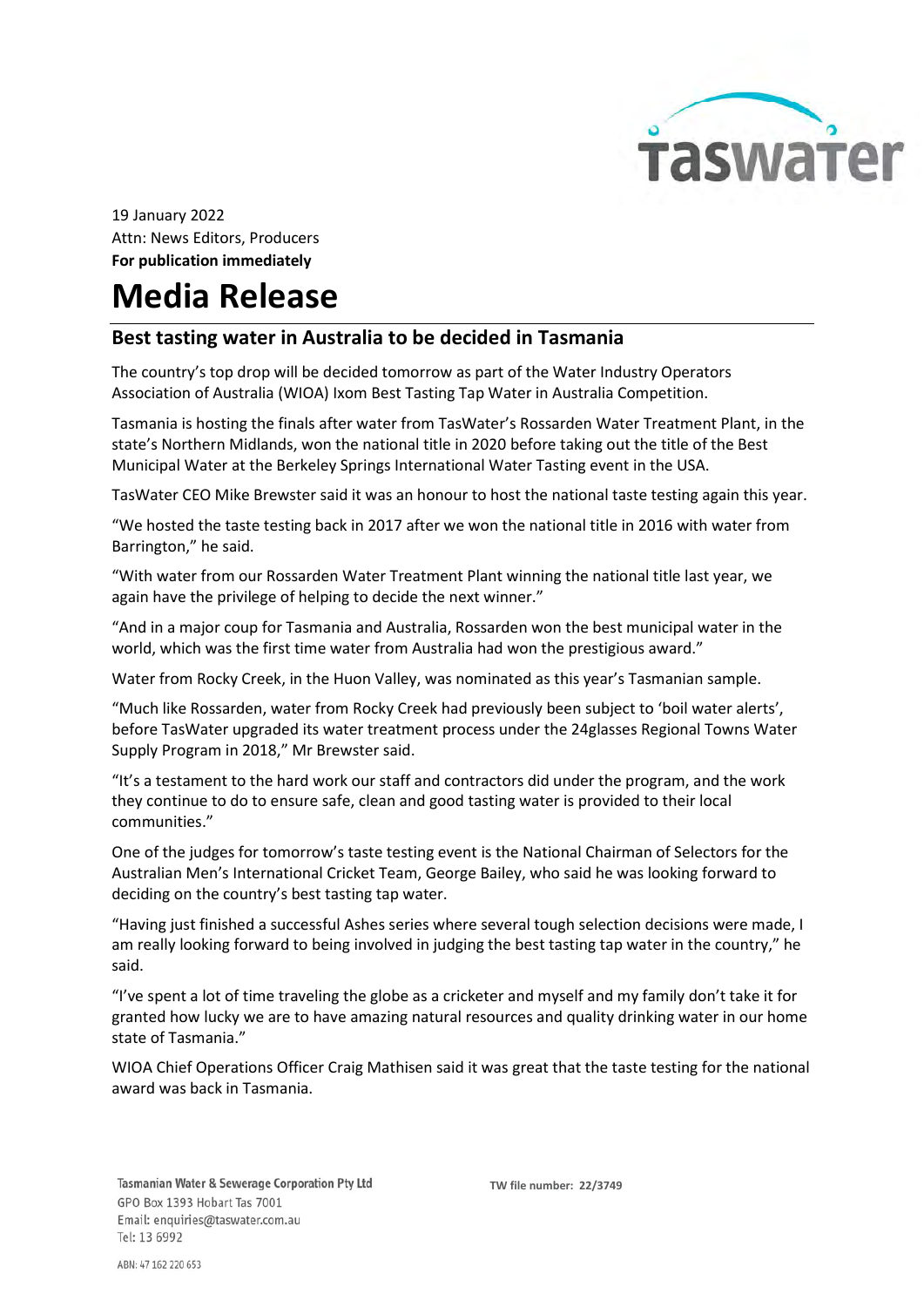

19 January 2022 Attn: News Editors, Producers For publication immediately

## Media Release

## Best tasting water in Australia to be decided in Tasmania

The country's top drop will be decided tomorrow as part of the Water Industry Operators Association of Australia (WIOA) Ixom Best Tasting Tap Water in Australia Competition.

Tasmania is hosting the finals after water from TasWater's Rossarden Water Treatment Plant, in the state's Northern Midlands, won the national title in 2020 before taking out the title of the Best Municipal Water at the Berkeley Springs International Water Tasting event in the USA.

TasWater CEO Mike Brewster said it was an honour to host the national taste testing again this year.

"We hosted the taste testing back in 2017 after we won the national title in 2016 with water from Barrington," he said.

"With water from our Rossarden Water Treatment Plant winning the national title last year, we again have the privilege of helping to decide the next winner."

"And in a major coup for Tasmania and Australia, Rossarden won the best municipal water in the world, which was the first time water from Australia had won the prestigious award."

Water from Rocky Creek, in the Huon Valley, was nominated as this year's Tasmanian sample.

"Much like Rossarden, water from Rocky Creek had previously been subject to 'boil water alerts', before TasWater upgraded its water treatment process under the 24glasses Regional Towns Water Supply Program in 2018," Mr Brewster said.

"It's a testament to the hard work our staff and contractors did under the program, and the work they continue to do to ensure safe, clean and good tasting water is provided to their local communities."

One of the judges for tomorrow's taste testing event is the National Chairman of Selectors for the Australian Men's International Cricket Team, George Bailey, who said he was looking forward to deciding on the country's best tasting tap water.

"Having just finished a successful Ashes series where several tough selection decisions were made, I am really looking forward to being involved in judging the best tasting tap water in the country," he said.

"I've spent a lot of time traveling the globe as a cricketer and myself and my family don't take it for granted how lucky we are to have amazing natural resources and quality drinking water in our home state of Tasmania."

WIOA Chief Operations Officer Craig Mathisen said it was great that the taste testing for the national award was back in Tasmania.